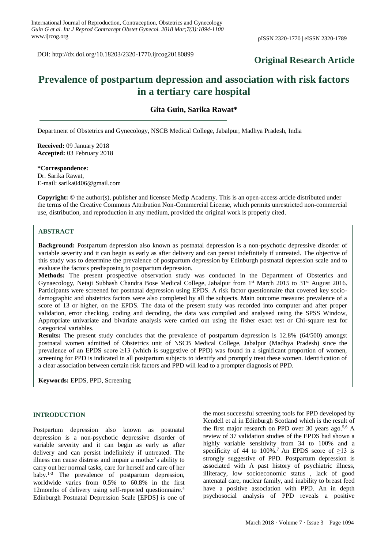DOI: http://dx.doi.org/10.18203/2320-1770.ijrcog20180899

## **Original Research Article**

# **Prevalence of postpartum depression and association with risk factors in a tertiary care hospital**

## **Gita Guin, Sarika Rawat\***

Department of Obstetrics and Gynecology, NSCB Medical College, Jabalpur, Madhya Pradesh, India

**Received:** 09 January 2018 **Accepted:** 03 February 2018

**\*Correspondence:**

Dr. Sarika Rawat, E-mail: sarika0406@gmail.com

**Copyright:** © the author(s), publisher and licensee Medip Academy. This is an open-access article distributed under the terms of the Creative Commons Attribution Non-Commercial License, which permits unrestricted non-commercial use, distribution, and reproduction in any medium, provided the original work is properly cited.

## **ABSTRACT**

**Background:** Postpartum depression also known as postnatal depression is a non-psychotic depressive disorder of variable severity and it can begin as early as after delivery and can persist indefinitely if untreated. The objective of this study was to determine the prevalence of postpartum depression by Edinburgh postnatal depression scale and to evaluate the factors predisposing to postpartum depression.

**Methods:** The present prospective observation study was conducted in the Department of Obstetrics and Gynaecology, Netaji Subhash Chandra Bose Medical College, Jabalpur from 1st March 2015 to 31st August 2016. Participants were screened for postnatal depression using EPDS. A risk factor questionnaire that covered key sociodemographic and obstetrics factors were also completed by all the subjects. Main outcome measure: prevalence of a score of 13 or higher, on the EPDS. The data of the present study was recorded into computer and after proper validation, error checking, coding and decoding, the data was compiled and analysed using the SPSS Window, Appropriate univariate and bivariate analysis were carried out using the fisher exact test or Chi-square test for categorical variables.

**Results:** The present study concludes that the prevalence of postpartum depression is 12.8% (64/500) amongst postnatal women admitted of Obstetrics unit of NSCB Medical College, Jabalpur (Madhya Pradesh) since the prevalence of an EPDS score  $\geq$ 13 (which is suggestive of PPD) was found in a significant proportion of women, screening for PPD is indicated in all postpartum subjects to identify and promptly treat these women. Identification of a clear association between certain risk factors and PPD will lead to a prompter diagnosis of PPD.

**Keywords:** EPDS, PPD, Screening

#### **INTRODUCTION**

Postpartum depression also known as postnatal depression is a non-psychotic depressive disorder of variable severity and it can begin as early as after delivery and can persist indefinitely if untreated. The illness can cause distress and impair a mother's ability to carry out her normal tasks, care for herself and care of her baby.1-3 The prevalence of postpartum depression, worldwide varies from 0.5% to 60.8% in the first 12months of delivery using self-reported questionnaire.<sup>4</sup> Edinburgh Postnatal Depression Scale [EPDS] is one of the most successful screening tools for PPD developed by Kendell et al in Edinburgh Scotland which is the result of the first major research on PPD over 30 years ago.<sup>5,6</sup> A review of 37 validation studies of the EPDS had shown a highly variable sensitivity from 34 to 100% and a specificity of 44 to 100%.<sup>7</sup> An EPDS score of  $\geq$ 13 is strongly suggestive of PPD. Postpartum depression is associated with A past history of psychiatric illness, illiteracy, low socioeconomic status , lack of good antenatal care, nuclear family, and inability to breast feed have a positive association with PPD. An in depth psychosocial analysis of PPD reveals a positive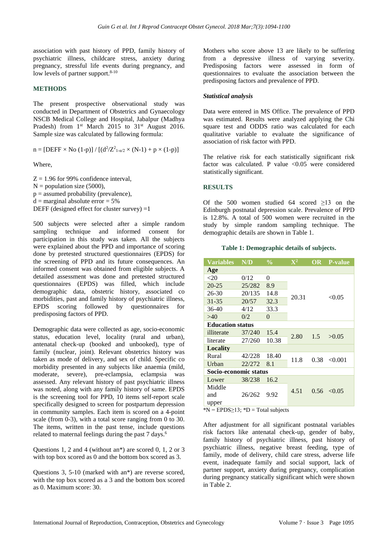association with past history of PPD, family history of psychiatric illness, childcare stress, anxiety during pregnancy, stressful life events during pregnancy, and low levels of partner support. $8-10$ 

#### **METHODS**

The present prospective observational study was conducted in Department of Obstetrics and Gynaecology NSCB Medical College and Hospital, Jabalpur (Madhya Pradesh) from  $1<sup>st</sup>$  March 2015 to  $31<sup>st</sup>$  August 2016. Sample size was calculated by fallowing formula:

$$
n = [DEFF \times No (1-p)] / [(d^2/Z_{1-\alpha/2}^2 \times (N-1) + p \times (1-p)]
$$

Where,

 $Z = 1.96$  for 99% confidence interval,  $N =$  population size (5000),  $p =$  assumed probability (prevalence),  $d =$  marginal absolute error = 5% DEFF (designed effect for cluster survey)  $=1$ 

500 subjects were selected after a simple random sampling technique and informed consent for participation in this study was taken. All the subjects were explained about the PPD and importance of scoring done by pretested structured questionnaires (EPDS) for the screening of PPD and its future consequences. An informed consent was obtained from eligible subjects. A detailed assessment was done and pretested structured questionnaires (EPDS) was filled, which include demographic data, obstetric history, associated co morbidities, past and family history of psychiatric illness, EPDS scoring followed by questionnaires for predisposing factors of PPD.

Demographic data were collected as age, socio-economic status, education level, locality (rural and urban), antenatal check-up (booked and unbooked), type of family (nuclear, joint). Relevant obstetrics history was taken as mode of delivery, and sex of child. Specific co morbidity presented in any subjects like anaemia (mild, moderate, severe), pre-eclampsia, eclampsia was assessed. Any relevant history of past psychiatric illness was noted, along with any family history of same. EPDS is the screening tool for PPD, 10 items self-report scale specifically designed to screen for postpartum depression in community samples. Each item is scored on a 4-point scale (from 0-3), with a total score ranging from 0 to 30. The items, written in the past tense, include questions related to maternal feelings during the past 7 days.<sup>6</sup>

Questions 1, 2 and 4 (without an\*) are scored 0, 1, 2 or 3 with top box scored as 0 and the bottom box scored as 3.

Questions 3, 5-10 (marked with an\*) are reverse scored, with the top box scored as a 3 and the bottom box scored as 0. Maximum score: 30.

Mothers who score above 13 are likely to be suffering from a depressive illness of varying severity. Predisposing factors were assessed in form of questionnaires to evaluate the association between the predisposing factors and prevalence of PPD.

#### *Statistical analysis*

Data were entered in MS Office. The prevalence of PPD was estimated. Results were analyzed applying the Chi square test and ODDS ratio was calculated for each qualitative variable to evaluate the significance of association of risk factor with PPD.

The relative risk for each statistically significant risk factor was calculated. P value  $< 0.05$  were considered statistically significant.

#### **RESULTS**

Of the 500 women studied 64 scored ≥13 on the Edinburgh postnatal depression scale. Prevalence of PPD is 12.8%. A total of 500 women were recruited in the study by simple random sampling technique. The demographic details are shown in Table 1.

#### **Table 1: Demographic details of subjects.**

| <b>Variables</b>             | N/D    | $\frac{0}{0}$ | $\mathbf{X}^2$ | OR   | <b>P-value</b> |  |  |  |  |
|------------------------------|--------|---------------|----------------|------|----------------|--|--|--|--|
| Age                          |        |               |                |      |                |  |  |  |  |
| $<$ 20                       | 0/12   | 0             |                |      |                |  |  |  |  |
| $20 - 25$                    | 25/282 | 8.9           |                |      |                |  |  |  |  |
| 26-30                        | 20/135 | 14.8          |                |      |                |  |  |  |  |
| $31 - 35$                    | 20/57  | 32.3          | 20.31          |      | < 0.05         |  |  |  |  |
| $36-40$                      | 4/12   | 33.3          |                |      |                |  |  |  |  |
| >40                          | 0/2    | 0             |                |      |                |  |  |  |  |
| <b>Education status</b>      |        |               |                |      |                |  |  |  |  |
| illiterate                   | 37/240 | 15.4          |                | 1.5  |                |  |  |  |  |
| literate                     | 27/260 | 10.38         | 2.80           |      | >0.05          |  |  |  |  |
| Locality                     |        |               |                |      |                |  |  |  |  |
| Rural                        | 42/228 | 18.40         |                | 0.38 |                |  |  |  |  |
| Urban                        | 22/272 | 8.1           | 11.8           |      | < 0.001        |  |  |  |  |
| <b>Socio-economic status</b> |        |               |                |      |                |  |  |  |  |
| Lower                        | 38/238 | 16.2          |                |      |                |  |  |  |  |
| Middle                       |        |               | 4.51           | 0.56 | $\leq 0.05$    |  |  |  |  |
| and                          | 26/262 | 9.92          |                |      |                |  |  |  |  |
| upper                        |        |               |                |      |                |  |  |  |  |

 $*N = EPDS \ge 13$ ;  $*D = Total subjects$ 

After adjustment for all significant postnatal variables risk factors like antenatal check-up, gender of baby, family history of psychiatric illness, past history of psychiatric illness, negative breast feeding, type of family, mode of delivery, child care stress, adverse life event, inadequate family and social support, lack of partner support, anxiety during pregnancy, complication during pregnancy statically significant which were shown in Table 2.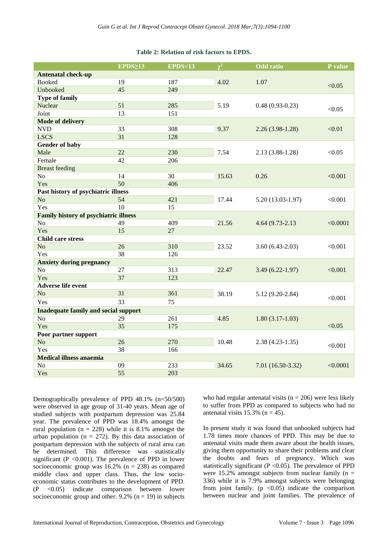#### **Table 2: Relation of risk factors to EPDS.**

|                                              | EPDS <sub>213</sub> | <b>EPDS&lt;13</b> | $\chi^2$ | <b>Odd</b> ratio    | P value  |  |  |  |  |
|----------------------------------------------|---------------------|-------------------|----------|---------------------|----------|--|--|--|--|
| <b>Antenatal check-up</b>                    |                     |                   |          |                     |          |  |  |  |  |
| Booked                                       | 19                  | 187               | 4.02     | 1.07                | < 0.05   |  |  |  |  |
| Unbooked                                     | 45                  | 249               |          |                     |          |  |  |  |  |
| <b>Type of family</b>                        |                     |                   |          |                     |          |  |  |  |  |
| Nuclear                                      | 51                  | 285               | 5.19     | $0.48(0.93-0.23)$   | < 0.05   |  |  |  |  |
| Joint                                        | 13                  | 151               |          |                     |          |  |  |  |  |
| <b>Mode of delivery</b>                      |                     |                   |          |                     |          |  |  |  |  |
| <b>NVD</b>                                   | 33                  | 308               | 9.37     | $2.26(3.98-1.28)$   | < 0.01   |  |  |  |  |
| <b>LSCS</b>                                  | 31                  | 128               |          |                     |          |  |  |  |  |
| Gender of baby                               |                     |                   |          |                     |          |  |  |  |  |
| Male                                         | 22                  | 230               | 7.54     | $2.13(3.88-1.28)$   | < 0.05   |  |  |  |  |
| Female                                       | 42                  | 206               |          |                     |          |  |  |  |  |
| <b>Breast feeding</b>                        |                     |                   |          |                     |          |  |  |  |  |
| N <sub>o</sub>                               | 14                  | 30                | 15.63    | 0.26                | < 0.001  |  |  |  |  |
| Yes                                          | 50                  | 406               |          |                     |          |  |  |  |  |
| Past history of psychiatric illness          |                     |                   |          |                     |          |  |  |  |  |
| No                                           | 54                  | 421               | 17.44    | $5.20(13.03-1.97)$  | < 0.001  |  |  |  |  |
| Yes                                          | 10                  | 15                |          |                     |          |  |  |  |  |
| <b>Family history of psychiatric illness</b> |                     |                   |          | 4.64 (9.73-2.13)    | < 0.0001 |  |  |  |  |
| N <sub>o</sub>                               | 49                  | 409               | 21.56    |                     |          |  |  |  |  |
| Yes                                          | 15                  | 27                |          |                     |          |  |  |  |  |
| <b>Child care stress</b>                     |                     |                   |          |                     |          |  |  |  |  |
| N <sub>o</sub>                               | 26                  | 310               | 23.52    | $3.60(6.43-2.03)$   | < 0.001  |  |  |  |  |
| Yes                                          | 38                  | 126               |          |                     |          |  |  |  |  |
| <b>Anxiety during pregnancy</b>              |                     |                   |          |                     |          |  |  |  |  |
| No                                           | 27                  | 313               | 22.47    | $3.49(6.22 - 1.97)$ | < 0.001  |  |  |  |  |
| Yes                                          | 37                  | 123               |          |                     |          |  |  |  |  |
| <b>Adverse life event</b>                    |                     |                   |          |                     |          |  |  |  |  |
| N <sub>o</sub>                               | 31                  | 361               | 38.19    | $5.12(9.20-2.84)$   | < 0.001  |  |  |  |  |
| Yes                                          | 33                  | 75                |          |                     |          |  |  |  |  |
| <b>Inadequate family and social support</b>  |                     |                   |          |                     |          |  |  |  |  |
| N <sub>o</sub>                               | 29                  | 261               | 4.85     | $1.80(3.17-1.03)$   |          |  |  |  |  |
| Yes                                          | 35                  | 175               |          |                     | < 0.05   |  |  |  |  |
| Poor partner support                         |                     |                   |          |                     |          |  |  |  |  |
| N <sub>o</sub>                               | 26                  | 270               | 10.48    | $2.38(4.23-1.35)$   |          |  |  |  |  |
| Yes                                          | 38                  | 166               |          |                     | < 0.001  |  |  |  |  |
| <b>Medical illness anaemia</b>               |                     |                   |          |                     |          |  |  |  |  |
| No                                           | 09                  | 233               | 34.65    | 7.01 (16.50-3.32)   | < 0.0001 |  |  |  |  |
| Yes                                          | 55                  | 203               |          |                     |          |  |  |  |  |

Demographically prevalence of PPD 48.1% (n=50/500) were observed in age group of 31-40 years. Mean age of studied subjects with postpartum depression was 25.84 year. The prevalence of PPD was 18.4% amongst the rural population ( $n = 228$ ) while it is 8.1% amongst the urban population ( $n = 272$ ). By this data association of postpartum depression with the subjects of rural area can be determined. This difference was statistically significant ( $P < 0.001$ ). The prevalence of PPD in lower socioeconomic group was  $16.2\%$  (n = 238) as compared middle class and upper class. Thus, the low socioeconomic status contributes to the development of PPD. (P <0.05) indicate comparison between lower socioeconomic group and other.  $9.2\%$  (n = 19) in subjects who had regular antenatal visits ( $n = 206$ ) were less likely to suffer from PPD as compared to subjects who had no antenatal visits  $15.3\%$  (n = 45).

In present study it was found that unbooked subjects had 1.78 times more chances of PPD. This may be due to antenatal visits made them aware about the health issues, giving them opportunity to share their problems and clear the doubts and fears of pregnancy. Which was statistically significant ( $P < 0.05$ ). The prevalence of PPD were 15.2% amongst subjects from nuclear family ( $n =$ 336) while it is 7.9% amongst subjects were belonging from joint family. ( $p \leq 0.05$ ) indicate the comparison between nuclear and joint families. The prevalence of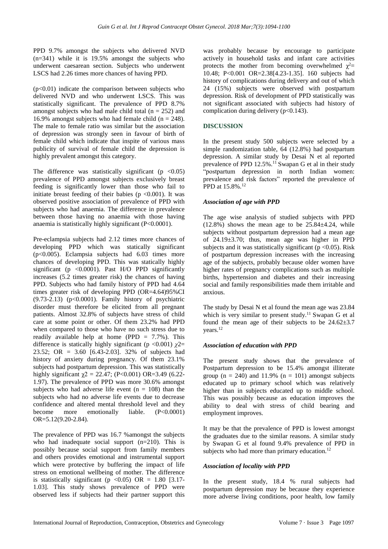PPD 9.7% amongst the subjects who delivered NVD (n=341) while it is 19.5% amongst the subjects who underwent caesarean section. Subjects who underwent LSCS had 2.26 times more chances of having PPD.

 $(p<0.01)$  indicate the comparison between subjects who delivered NVD and who underwent LSCS. This was statistically significant. The prevalence of PPD 8.7% amongst subjects who had male child total  $(n = 252)$  and 16.9% amongst subjects who had female child ( $n = 248$ ). The male to female ratio was similar but the association of depression was strongly seen in favour of birth of female child which indicate that inspite of various mass publicity of survival of female child the depression is highly prevalent amongst this category.

The difference was statistically significant ( $p \leq 0.05$ ) prevalence of PPD amongst subjects exclusively breast feeding is significantly lower than those who fail to initiate breast feeding of their babies ( $p \le 0.001$ ). It was observed positive association of prevalence of PPD with subjects who had anaemia. The difference in prevalence between those having no anaemia with those having anaemia is statistically highly significant (P<0.0001).

Pre-eclampsia subjects had 2.12 times more chances of developing PPD which was statically significant  $(p<0.005)$ . Eclampsia subjects had  $6.03$  times more chances of developing PPD. This was statically highly significant (p  $\langle 0.0001 \rangle$ ). Past H/O PPD significantly increases (5.2 times greater risk) the chances of having PPD. Subjects who had family history of PPD had 4.64 times greater risk of developing PPD (OR=4.64)95%CI (9.73-2.13) (p<0.0001). Family history of psychiatric disorder must therefore be elicited from all pregnant patients. Almost 32.8% of subjects have stress of child care at some point or other. Of them 23.2% had PPD when compared to those who have no such stress due to readily available help at home (PPD  $= 7.7\%$ ). This difference is statically highly significant ( $p < 0.001$ )  $\chi$ 2= 23.52; OR = 3.60 [6.43-2.03]. 32% of subjects had history of anxiety during pregnancy. Of them 23.1% subjects had postpartum depression. This was statistically highly significant  $χ$ 2 = 22.47; (P<0.001) OR=3.49 (6.22-1.97). The prevalence of PPD was more 30.6% amongst subjects who had adverse life event  $(n = 108)$  than the subjects who had no adverse life events due to decrease confidence and altered mental threshold level and they become more emotionally liable. (P<0.0001) OR=5.12(9.20-2.84).

The prevalence of PPD was 16.7 %amongst the subjects who had inadequate social support (n=210). This is possibly because social support from family members and others provides emotional and instrumental support which were protective by buffering the impact of life stress on emotional wellbeing of mother. The difference is statistically significant ( $p \le 0.05$ ) OR = 1.80 [3.17-1.03]. This study shows prevalence of PPD were observed less if subjects had their partner support this was probably because by encourage to participate actively in household tasks and infant care activities protects the mother from becoming overwhelmed  $\chi^2$ = 10.48; P<0.001 OR=2.38[4.23-1.35]. 160 subjects had history of complications during delivery and out of which 24 (15%) subjects were observed with postpartum depression. Risk of development of PPD statistically was not significant associated with subjects had history of complication during delivery  $(p<0.143)$ .

#### **DISCUSSION**

In the present study 500 subjects were selected by a simple randomization table, 64 (12.8%) had postpartum depression. A similar study by Desai N et al reported prevalence of PPD 12.5%.<sup>11</sup> Swapan G et al in their study "postpartum depression in north Indian women: prevalence and risk factors" reported the prevalence of PPD at 15.8%.<sup>12</sup>

#### *Association of age with PPD*

The age wise analysis of studied subjects with PPD  $(12.8\%)$  shows the mean age to be  $25.84\pm4.24$ , while subjects without postpartum depression had a mean age of 24.19±3.70; thus, mean age was higher in PPD subjects and it was statistically significant ( $p < 0.05$ ). Risk of postpartum depression increases with the increasing age of the subjects, probably because older women have higher rates of pregnancy complications such as multiple births, hypertension and diabetes and their increasing social and family responsibilities made them irritable and anxious.

The study by Desai N et al found the mean age was 23.84 which is very similar to present study.<sup>11</sup> Swapan G et al found the mean age of their subjects to be  $24.62 \pm 3.7$ years.<sup>12</sup>

#### *Association of education with PPD*

The present study shows that the prevalence of Postpartum depression to be 15.4% amongst illiterate group ( $n = 240$ ) and 11.9% ( $n = 101$ ) amongst subjects educated up to primary school which was relatively higher than in subjects educated up to middle school. This was possibly because as education improves the ability to deal with stress of child bearing and employment improves.

It may be that the prevalence of PPD is lowest amongst the graduates due to the similar reasons. A similar study by Swapan G et al found 9.4% prevalence of PPD in subjects who had more than primary education.<sup>12</sup>

#### *Association of locality with PPD*

In the present study, 18.4 % rural subjects had postpartum depression may be because they experience more adverse living conditions, poor health, low family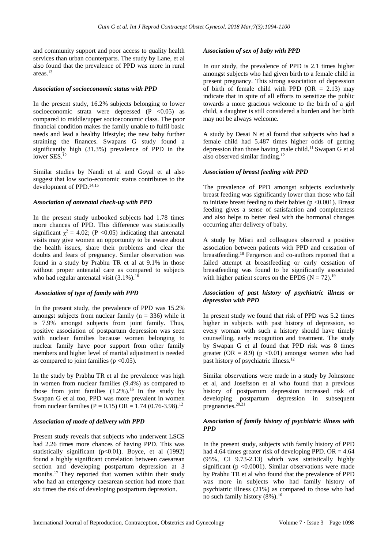and community support and poor access to quality health services than urban counterparts. The study by Lane, et al also found that the prevalence of PPD was more in rural areas.<sup>13</sup>

#### *Association of socioeconomic status with PPD*

In the present study, 16.2% subjects belonging to lower socioeconomic strata were depressed  $(P \le 0.05)$  as compared to middle/upper socioeconomic class. The poor financial condition makes the family unable to fulfil basic needs and lead a healthy lifestyle; the new baby further straining the finances. Swapans G study found a significantly high (31.3%) prevalence of PPD in the lower SES.<sup>12</sup>

Similar studies by Nandi et al and Goyal et al also suggest that low socio-economic status contributes to the development of PPD.14,15

#### *Association of antenatal check-up with PPD*

In the present study unbooked subjects had 1.78 times more chances of PPD. This difference was statistically significant  $\chi^2 = 4.02$ ; (P <0.05) indicating that antenatal visits may give women an opportunity to be aware about the health issues, share their problems and clear the doubts and fears of pregnancy. Similar observation was found in a study by Prabhu TR et al at 9.1% in those without proper antenatal care as compared to subjects who had regular antenatal visit  $(3.1\%)$ .<sup>16</sup>

#### *Association of type of family with PPD*

In the present study, the prevalence of PPD was 15.2% amongst subjects from nuclear family ( $n = 336$ ) while it is 7.9% amongst subjects from joint family. Thus, positive association of postpartum depression was seen with nuclear families because women belonging to nuclear family have poor support from other family members and higher level of marital adjustment is needed as compared to joint families ( $p < 0.05$ ).

In the study by Prabhu TR et al the prevalence was high in women from nuclear families (9.4%) as compared to those from joint families  $(1.2\%)$ .<sup>16</sup> In the study by Swapan G et al too, PPD was more prevalent in women from nuclear families (P = 0.15) OR = 1.74 (0.76-3.98).<sup>12</sup>

#### *Association of mode of delivery with PPD*

Present study reveals that subjects who underwent LSCS had 2.26 times more chances of having PPD. This was statistically significant (p<0.01). Boyce, et al (1992) found a highly significant correlation between caesarean section and developing postpartum depression at 3 months.<sup>17</sup> They reported that women within their study who had an emergency caesarean section had more than six times the risk of developing postpartum depression.

#### *Association of sex of baby with PPD*

In our study, the prevalence of PPD is 2.1 times higher amongst subjects who had given birth to a female child in present pregnancy. This strong association of depression of birth of female child with PPD ( $OR = 2.13$ ) may indicate that in spite of all efforts to sensitize the public towards a more gracious welcome to the birth of a girl child, a daughter is still considered a burden and her birth may not be always welcome.

A study by Desai N et al found that subjects who had a female child had 5.487 times higher odds of getting depression than those having male child.<sup>11</sup> Swapan G et al also observed similar finding.<sup>12</sup>

### *Association of breast feeding with PPD*

The prevalence of PPD amongst subjects exclusively breast feeding was significantly lower than those who fail to initiate breast feeding to their babies ( $p \le 0.001$ ). Breast feeding gives a sense of satisfaction and completeness and also helps to better deal with the hormonal changes occurring after delivery of baby.

A study by Misri and colleagues observed a positive association between patients with PPD and cessation of breastfeeding. <sup>18</sup> Fergerson and co-authors reported that a failed attempt at breastfeeding or early cessation of breastfeeding was found to be significantly associated with higher patient scores on the EPDS ( $N = 72$ ).<sup>19</sup>

#### *Association of past history of psychiatric illness or depression with PPD*

In present study we found that risk of PPD was 5.2 times higher in subjects with past history of depression, so every woman with such a history should have timely counselling, early recognition and treatment. The study by Swapan G et al found that PPD risk was 8 times greater (OR = 8.9) ( $p \le 0.01$ ) amongst women who had past history of psychiatric illness.<sup>12</sup>

Similar observations were made in a study by Johnstone et al, and Josefsson et al who found that a previous history of postpartum depression increased risk of developing postpartum depression in subsequent pregnancies.<sup>20,21</sup>

#### *Association of family history of psychiatric illness with PPD*

In the present study, subjects with family history of PPD had 4.64 times greater risk of developing PPD. OR = 4.64 (95%, CI 9.73-2.13) which was statistically highly significant ( $p < 0.0001$ ). Similar observations were made by Prabhu TR et al who found that the prevalence of PPD was more in subjects who had family history of psychiatric illness (21%) as compared to those who had no such family history (8%). 16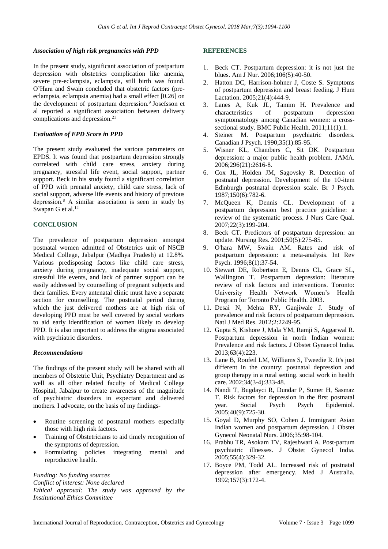#### *Association of high risk pregnancies with PPD*

In the present study, significant association of postpartum depression with obstetrics complication like anemia, severe pre-eclampsia, eclampsia, still birth was found. O'Hara and Swain concluded that obstetric factors (preeclampsia, eclampsia anemia) had a small effect [0.26] on the development of postpartum depression.<sup>9</sup> Josefsson et al reported a significant association between delivery complications and depression.<sup>21</sup>

#### *Evaluation of EPD Score in PPD*

The present study evaluated the various parameters on EPDS. It was found that postpartum depression strongly correlated with child care stress, anxiety during pregnancy, stressful life event, social support, partner support. Beck in his study found a significant correlation of PPD with prenatal anxiety, child care stress, lack of social support, adverse life events and history of previous depression. $8$  A similar association is seen in study by Swapan G et al.<sup>12</sup>

#### **CONCLUSION**

The prevalence of postpartum depression amongst postnatal women admitted of Obstetrics unit of NSCB Medical College, Jabalpur (Madhya Pradesh) at 12.8%. Various predisposing factors like child care stress, anxiety during pregnancy, inadequate social support, stressful life events, and lack of partner support can be easily addressed by counselling of pregnant subjects and their families. Every antenatal clinic must have a separate section for counselling. The postnatal period during which the just delivered mothers are at high risk of developing PPD must be well covered by social workers to aid early identification of women likely to develop PPD. It is also important to address the stigma associated with psychiatric disorders.

#### *Recommendations*

The findings of the present study will be shared with all members of Obstetric Unit, Psychiatry Department and as well as all other related faculty of Medical College Hospital, Jabalpur to create awareness of the magnitude of psychiatric disorders in expectant and delivered mothers. I advocate, on the basis of my findings-

- Routine screening of postnatal mothers especially those with high risk factors.
- Training of Obstetricians to aid timely recognition of the symptoms of depression.
- Formulating policies integrating mental and reproductive health.

*Funding: No funding sources Conflict of interest: None declared Ethical approval: The study was approved by the Institutional Ethics Committee*

#### **REFERENCES**

- 1. Beck CT. Postpartum depression: it is not just the blues. Am J Nur. 2006;106(5):40-50.
- 2. Hatton DC, Harrison-hohner J, Coste S. Symptoms of postpartum depression and breast feeding. J Hum Lactation. 2005;21(4):444-9.
- 3. Lanes A, Kuk JL, Tamim H. Prevalence and characteristics of postpartum depression symptomatology among Canadian women: a crosssectional study. BMC Public Health. 2011;11(1):1.
- 4. Steiner M. Postpartum psychiatric disorders. Canadian J Psych. 1990;35(1):85-95.
- 5. Wisner KL, Chambers C, Sit DK. Postpartum depression: a major public health problem. JAMA. 2006;296(21):2616-8.
- 6. Cox JL, Holden JM, Sagovsky R. Detection of postnatal depression. Development of the 10-item Edinburgh postnatal depression scale. Br J Psych. 1987;150(6):782-6.
- 7. McQueen K, Dennis CL. Development of a postpartum depression best practice guideline: a review of the systematic process. J Nurs Care Qual. 2007;22(3):199-204.
- 8. Beck CT. Predictors of postpartum depression: an update. Nursing Res. 2001;50(5):275-85.
- 9. O'hara MW, Swain AM. Rates and risk of postpartum depression: a meta-analysis. Int Rev Psych. 1996;8(1):37-54.
- 10. Stewart DE, Robertson E, Dennis CL, Grace SL, Wallington T. Postpartum depression: literature review of risk factors and interventions. Toronto: University Health Network Women's Health Program for Toronto Public Health. 2003.
- 11. Desai N, Mehta RY, Ganjiwale J. Study of prevalence and risk factors of postpartum depression. Natl J Med Res. 2012;2:2249-95.
- 12. Gupta S, Kishore J, Mala YM, Ramji S, Aggarwal R. Postpartum depression in north Indian women: Prevalence and risk factors. J Obstet Gynaecol India. 2013;63(4):223.
- 13. Lane B, Roufeil LM, Williams S, Tweedie R. It's just different in the country: postnatal depression and group therapy in a rural setting. social work in health care. 2002;34(3-4):333-48.
- 14. Nandi T, Bugdayci R, Dundar P, Sumer H, Sasmaz T. Risk factors for depression in the first postnatal year. Social Psych Psych Epidemiol. 2005;40(9):725-30.
- 15. Goyal D, Murphy SO, Cohen J. Immigrant Asian Indian women and postpartum depression. J Obstet Gynecol Neonatal Nurs. 2006;35:98-104.
- 16. Prabhu TR, Asokam TV, Rajeshwari A. Post-partum psychiatric illnesses. J Obstet Gynecol India. 2005;55(4):329-32.
- 17. Boyce PM, Todd AL. Increased risk of postnatal depression after emergency. Med J Australia. 1992;157(3):172-4.